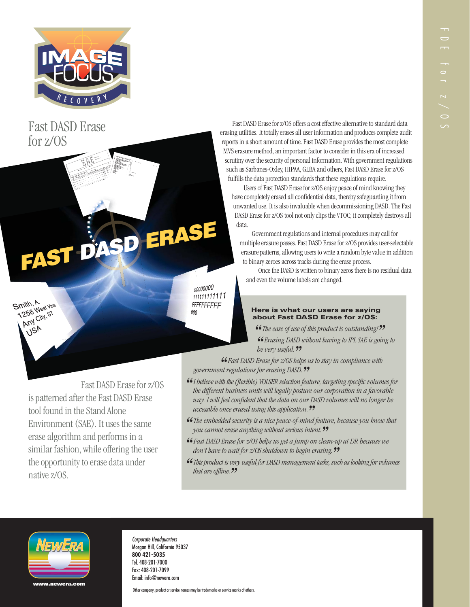

Fast DASD Erase for z/OS

# *FAST DASD ERASE*

Fast DASD Erase for z/OS

is patterned after the Fast DASD Erase

Environment (SAE). It uses the same erase algorithm and performs in a similar fashion, while offering the user the opportunity to erase data under

tool found in the Stand Alone

0000000 11111111111 **FFFFFFFFFF** 000

Fast DASD Erase for z/OS offers a cost effective alternative to standard data erasing utilities. It totally erases all user information and produces complete audit reports in a short amount of time. Fast DASD Erase provides the most complete MVS erasure method, an important factor to consider in this era of increased scrutiny over the security of personal information. With government regulations such as Sarbanes-Oxley, HIPAA, GLBA and others, Fast DASD Erase for z/OS fulfills the data protection standards that these regulations require.

Users of Fast DASD Erase for z/OS enjoy peace of mind knowing they have completely erased all confidential data, thereby safeguarding it from unwanted use. It is also invaluable when decommissioning DASD. The Fast DASD Erase for z/OS tool not only clips the VTOC; it completely destroys all data.

Government regulations and internal procedures may call for multiple erasure passes. Fast DASD Erase for z/OS provides user-selectable erasure patterns, allowing users to write a random byte value in addition to binary zeroes across tracks during the erase process.

Once the DASD is written to binary zeros there is no residual data and even the volume labels are changed.

# **Here is what our users are saying about Fast DASD Erase for z/OS:**

*"The ease of use of this product is outstanding!" "Erasing DASD without having to IPL SAE is going to be very useful.*<sup>99</sup>

**" " Fast DASD Erase for z/OS helps us to stay in compliance with** *government regulations for erasing DASD."*

- *"I believe with the (flexible) VOLSER selection feature, targeting specific volumes for the different business units will legally posture our corporation in a favorable way. I will feel confident that the data on our DASD volumes will no longer be accessible once erased using this application."*
- *"The embedded security is a nice peace-of-mind feature, because you know that you cannot erase anything without serious intent."*
- *"Fast DASD Erase for z/OS helps us get a jump on clean-up at DR because we don't have to wait for z/OS shutdown to begin erasing."*
- **" "** *This product is very useful for DASD management tasks, such as looking for volumes that are offline.*<sup>22</sup>



native z/OS.

Smith, A. Smith, A.<br>1256 West <sup>Vine</sup><br>1256 Viny, ST

**1256** West ville<br>256 West ville<br>ANY City, ST

JSA

Corporate Headquarters Morgan Hill, California 95037 **800 421-5035** Tel. 408-201-7000 Fax: 408-201-7099 Email: info@newera.com

Other company, product or service names may be trademarks or service marks of others.